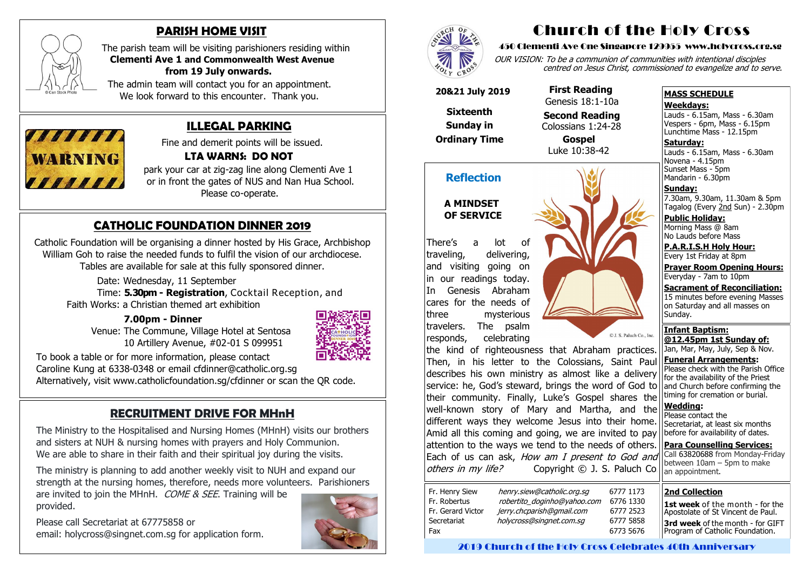## **CATHOLIC FOUNDATION DINNER 2019**

Catholic Foundation will be organising a dinner hosted by His Grace, Archbishop William Goh to raise the needed funds to fulfil the vision of our archdiocese. Tables are available for sale at this fully sponsored dinner.

 Time: **5.30pm - Registration**, Cocktail Reception, and Faith Works: a Christian themed art exhibition ľ

Date: Wednesday, 11 September

### **7.00pm - Dinner**

 Venue: The Commune, Village Hotel at Sentosa 10 Artillery Avenue, #02-01 S 099951



are invited to join the MHnH. COME & SEE. Training will be provided.

To book a table or for more information, please contact Caroline Kung at 6338-0348 or email cfdinner@catholic.org.sg Alternatively, visit www.catholicfoundation.sg/cfdinner or scan the QR code.

### **RECRUITMENT DRIVE FOR MHnH**

The Ministry to the Hospitalised and Nursing Homes (MHnH) visits our brothers and sisters at NUH & nursing homes with prayers and Holy Communion. We are able to share in their faith and their spiritual joy during the visits.

The ministry is planning to add another weekly visit to NUH and expand our strength at the nursing homes, therefore, needs more volunteers. Parishioners Novena - 4.15pm Sunset Mass - 5pm Mandarin - 6.30pm

Please call Secretariat at 67775858 or email: holycross@singnet.com.sg for application form.







### **PARISH HOME VISIT**

The parish team will be visiting parishioners residing within **Clementi Ave 1 and Commonwealth West Avenue from 19 July onwards.** 

> Jan, Mar, May, July, Sep & Nov. **Funeral Arrangements:**  Please check with the Parish Office for the availability of the Priest and Church before confirming the timing for cremation or burial. **Wedding:**  Please contact the Secretariat, at least six months before for availability of dates. **Para Counselling Services:** Call [63820688](tel:+6563820688) from Monday-Friday between  $10$ am – 5pm to make an appointment. the kind of righteousness that Abraham practices. Then, in his letter to the Colossians, Saint Paul describes his own ministry as almost like a delivery service: he, God's steward, brings the word of God to their community. Finally, Luke's Gospel shares the well-known story of Mary and Martha, and the different ways they welcome Jesus into their home. Amid all this coming and going, we are invited to pay attention to the ways we tend to the needs of others. Each of us can ask, How am I present to God and others in my life? Copyright © J. S. Paluch Co.

 The admin team will contact you for an appointment. We look forward to this encounter. Thank you.



### **ILLEGAL PARKING**

Fine and demerit points will be issued.

### **LTA WARNS: DO NOT**

park your car at zig-zag line along Clementi Ave 1 or in front the gates of NUS and Nan Hua School. Please co-operate.

# Church of the Holy Cross

#### 450 Clementi Ave One Singapore 129955 www.holycross.org.sg

OUR VISION: To be a communion of communities with intentional disciples centred on Jesus Christ, commissioned to evangelize and to serve.

#### **MASS SCHEDULE**

#### **Weekdays:**

Lauds - 6.15am, Mass - 6.30am Vespers - 6pm, Mass - 6.15pm Lunchtime Mass - 12.15pm

**Saturday:** Lauds - 6.15am, Mass - 6.30am

**Sunday:** 7.30am, 9.30am, 11.30am & 5pm Tagalog (Every 2nd Sun) - 2.30pm

**Public Holiday:**  Morning Mass @ 8am No Lauds before Mass

**P.A.R.I.S.H Holy Hour:** Every 1st Friday at 8pm

**Prayer Room Opening Hours:** Everyday - 7am to 10pm

**Sacrament of Reconciliation:** 15 minutes before evening Masses on Saturday and all masses on Sunday.

**Infant Baptism: @12.45pm 1st Sunday of:**

### **Reflection**

#### **A MINDSET OF SERVICE**

There's a lot of traveling, delivering, and visiting going on in our readings today. In Genesis Abraham cares for the needs of three mysterious travelers. The psalm responds, celebrating



 **20&21 July 2019**

**Sixteenth** 

**Sunday in** 

**Ordinary Time**

 **First Reading** Genesis 18:1-10a

 **Second Reading** Colossians 1:24-28

 **Gospel** Luke 10:38-42

#### **2nd Collection**

**1st week** of the month - for the Apostolate of St Vincent de Paul. **3rd week** of the month - for GIFT Program of Catholic Foundation.

2019 Church of the Holy Cross Celebrates 40th Anniversary

5777 1173 Fr. 8776 1330 Fr. Gerard Victor jerry.chcparish@gmail.com6777 2523 Secretariat holycross@singnet.com.sg 6777 5858 5773 5676